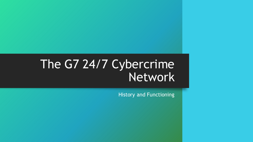## The G7 24/7 Cybercrime Network

History and Functioning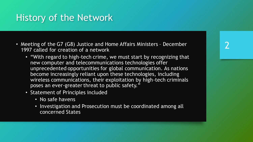## History of the Network

- Meeting of the G7 (G8) Justice and Home Affairs Ministers December 1997 called for creation of a network
	- "With regard to high-tech crime, we must start by recognizing that new computer and telecommunications technologies offer unprecedented opportunities for global communication. As nations become increasingly reliant upon these technologies, including wireless communications, their exploitation by high-tech criminals poses an ever-greater threat to public safety."
	- Statement of Principles included
		- No safe havens
		- Investigation and Prosecution must be coordinated among all concerned States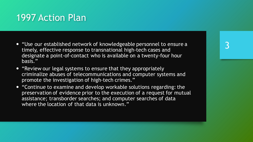## 1997 Action Plan

- "Use our established network of knowledgeable personnel to ensure a timely, effective response to transnational high-tech cases and designate a point-of-contact who is available on a twenty-four hour basis."
- "Review our legal systems to ensure that they appropriately criminalize abuses of telecommunications and computer systems and promote the investigation of high-tech crimes."
- "Continue to examine and develop workable solutions regarding: the preservation of evidence prior to the execution of a request for mutual assistance; transborder searches; and computer searches of data where the location of that data is unknown."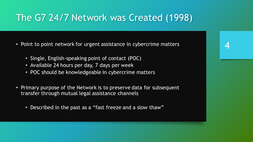## The G7 24/7 Network was Created (1998)

- Point to point network for urgent assistance in cybercrime matters
	- Single, English-speaking point of contact (POC)
	- Available 24 hours per day, 7 days per week
	- POC should be knowledgeable in cybercrime matters
- Primary purpose of the Network is to preserve data for subsequent transfer through mutual legal assistance channels
	- Described in the past as a "fast freeze and a slow thaw"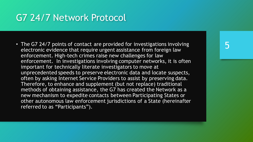## G7 24/7 Network Protocol

• The G7 24/7 points of contact are provided for investigations involving electronic evidence that require urgent assistance from foreign law enforcement. High-tech crimes raise new challenges for law enforcement. In investigations involving computer networks, it is often important for technically literate investigators to move at unprecedented speeds to preserve electronic data and locate suspects, often by asking Internet Service Providers to assist by preserving data. Therefore, to enhance and supplement (but not replace) traditional methods of obtaining assistance, the G7 has created the Network as a new mechanism to expedite contacts between Participating States or other autonomous law enforcement jurisdictions of a State (hereinafter referred to as "Participants").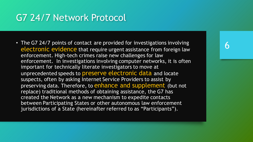## G7 24/7 Network Protocol

• The G7 24/7 points of contact are provided for investigations involving electronic evidence that require urgent assistance from foreign law enforcement. High-tech crimes raise new challenges for law enforcement. In investigations involving computer networks, it is often important for technically literate investigators to move at unprecedented speeds to **preserve electronic data** and locate suspects, often by asking Internet Service Providers to assist by preserving data. Therefore, to enhance and supplement (but not replace) traditional methods of obtaining assistance, the G7 has created the Network as a new mechanism to expedite contacts between Participating States or other autonomous law enforcement jurisdictions of a State (hereinafter referred to as "Participants").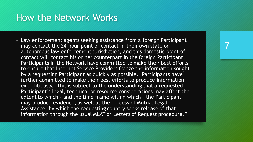#### How the Network Works

• Law enforcement agents seeking assistance from a foreign Participant may contact the 24-hour point of contact in their own state or autonomous law enforcement jurisdiction, and this domestic point of contact will contact his or her counterpart in the foreign Participant. Participants in the Network have committed to make their best efforts to ensure that Internet Service Providers freeze the information sought by a requesting Participant as quickly as possible. Participants have further committed to make their best efforts to produce information expeditiously. This is subject to the understanding that a requested Participant's legal, technical or resource considerations may affect the extent to which - and the time frame within which – the Participant may produce evidence, as well as the process of Mutual Legal Assistance, by which the requesting country seeks release of that information through the usual MLAT or Letters of Request procedure*."*

## 7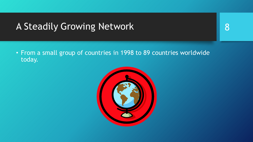## A Steadily Growing Network

8

• From a small group of countries in 1998 to 89 countries worldwide today.

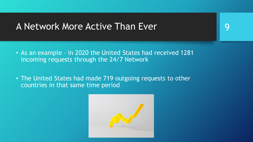#### A Network More Active Than Ever

- As an example in 2020 the United States had received 1281 incoming requests through the 24/7 Network
- The United States had made 719 outgoing requests to other countries in that same time period



9